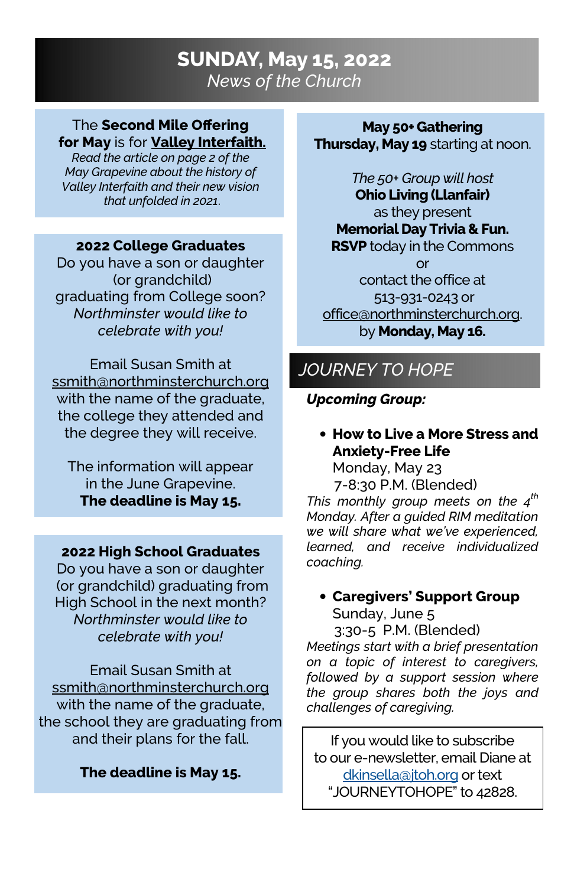# SUNDAY, May 15, 2022 News of the Church

### The Second Mile Offering for May is for **Valley Interfaith.**

Read the article on page 2 of the May Grapevine about the history of Valley Interfaith and their new vision that unfolded in 2021.

### 2022 College Graduates

Do you have a son or daughter (or grandchild) graduating from College soon? Northminster would like to celebrate with you!

Email Susan Smith at ssmith@northminsterchurch.org with the name of the graduate, the college they attended and the degree they will receive.

The information will appear in the June Grapevine. The deadline is May 15.

## 2022 High School Graduates

Do you have a son or daughter (or grandchild) graduating from High School in the next month? Northminster would like to celebrate with you!

Email Susan Smith at ssmith@northminsterchurch.org with the name of the graduate, the school they are graduating from and their plans for the fall.

## The deadline is May 15.

### May 50+ Gathering Thursday, May 19 starting at noon.

The 50+ Group will host Ohio Living (Llanfair) as they present Memorial Day Trivia & Fun. **RSVP** today in the Commons or contact the office at 513-931-0243 or office@northminsterchurch.org. by **Monday, May 16.** 

# JOURNEY TO HOPE

## Upcoming Group:

• How to Live a More Stress and Anxiety-Free Life

Monday, May 23 7-8:30 P.M. (Blended)

This monthly group meets on the  $4<sup>th</sup>$ Monday. After a guided RIM meditation we will share what we've experienced, learned, and receive individualized coaching.

## • Caregivers' Support Group Sunday, June 5

 3:30-5 P.M. (Blended) Meetings start with a brief presentation on a topic of interest to caregivers, followed by a support session where the group shares both the joys and challenges of caregiving.

If you would like to subscribe to our e-newsletter, email Diane at dkinsella@jtoh.org or text "JOURNEYTOHOPE" to 42828.